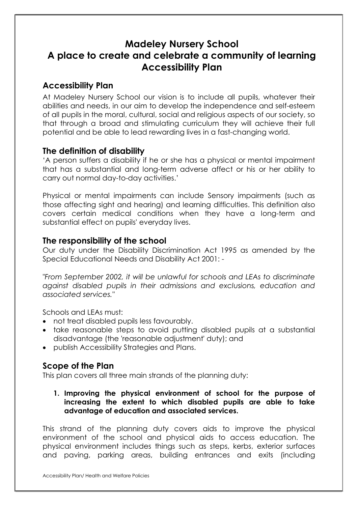# Madeley Nursery School A place to create and celebrate a community of learning Accessibility Plan

### Accessibility Plan

At Madeley Nursery School our vision is to include all pupils, whatever their abilities and needs, in our aim to develop the independence and self-esteem of all pupils in the moral, cultural, social and religious aspects of our society, so that through a broad and stimulating curriculum they will achieve their full potential and be able to lead rewarding lives in a fast-changing world.

### The definition of disability

'A person suffers a disability if he or she has a physical or mental impairment that has a substantial and long-term adverse affect or his or her ability to carry out normal day-to-day activities.'

Physical or mental impairments can include Sensory impairments (such as those affecting sight and hearing) and learning difficulties. This definition also covers certain medical conditions when they have a long-term and substantial effect on pupils' everyday lives.

### The responsibility of the school

Our duty under the Disability Discrimination Act 1995 as amended by the Special Educational Needs and Disability Act 2001: -

"From September 2002, it will be unlawful for schools and LEAs to discriminate against disabled pupils in their admissions and exclusions, education and associated services."

Schools and LEAs must:

- not treat disabled pupils less favourably.
- take reasonable steps to avoid putting disabled pupils at a substantial disadvantage (the 'reasonable adjustment' duty); and
- publish Accessibility Strategies and Plans.

# Scope of the Plan

This plan covers all three main strands of the planning duty:

1. Improving the physical environment of school for the purpose of increasing the extent to which disabled pupils are able to take advantage of education and associated services.

This strand of the planning duty covers aids to improve the physical environment of the school and physical aids to access education. The physical environment includes things such as steps, kerbs, exterior surfaces and paving, parking areas, building entrances and exits (including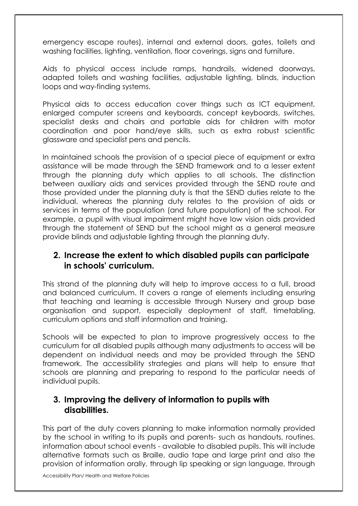emergency escape routes), internal and external doors, gates, toilets and washing facilities, lighting, ventilation, floor coverings, signs and furniture.

Aids to physical access include ramps, handrails, widened doorways, adapted toilets and washing facilities, adjustable lighting, blinds, induction loops and way-finding systems.

Physical aids to access education cover things such as ICT equipment, enlarged computer screens and keyboards, concept keyboards, switches, specialist desks and chairs and portable aids for children with motor coordination and poor hand/eye skills, such as extra robust scientific glassware and specialist pens and pencils.

In maintained schools the provision of a special piece of equipment or extra assistance will be made through the SEND framework and to a lesser extent through the planning duty which applies to all schools. The distinction between auxiliary aids and services provided through the SEND route and those provided under the planning duty is that the SEND duties relate to the individual, whereas the planning duty relates to the provision of aids or services in terms of the population (and future population) of the school. For example, a pupil with visual impairment might have low vision aids provided through the statement of SEND but the school might as a general measure provide blinds and adjustable lighting through the planning duty.

## 2. Increase the extent to which disabled pupils can participate in schools' curriculum.

This strand of the planning duty will help to improve access to a full, broad and balanced curriculum. It covers a range of elements including ensuring that teaching and learning is accessible through Nursery and group base organisation and support, especially deployment of staff, timetabling, curriculum options and staff information and training.

Schools will be expected to plan to improve progressively access to the curriculum for all disabled pupils although many adjustments to access will be dependent on individual needs and may be provided through the SEND framework. The accessibility strategies and plans will help to ensure that schools are planning and preparing to respond to the particular needs of individual pupils.

### 3. Improving the delivery of information to pupils with disabilities.

This part of the duty covers planning to make information normally provided by the school in writing to its pupils and parents- such as handouts, routines, information about school events - available to disabled pupils. This will include alternative formats such as Braille, audio tape and large print and also the provision of information orally, through lip speaking or sign language, through

Accessibility Plan/ Health and Welfare Policies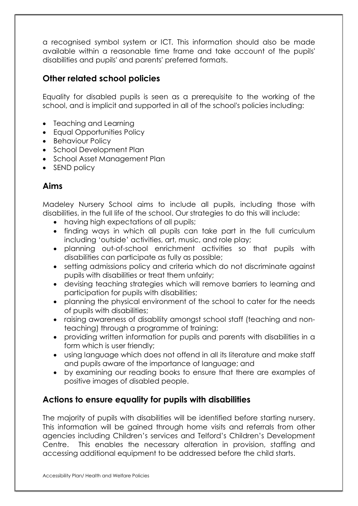a recognised symbol system or ICT. This information should also be made available within a reasonable time frame and take account of the pupils' disabilities and pupils' and parents' preferred formats.

# Other related school policies

Equality for disabled pupils is seen as a prerequisite to the working of the school, and is implicit and supported in all of the school's policies including:

- Teaching and Learning
- Equal Opportunities Policy
- Behaviour Policy
- School Development Plan
- School Asset Management Plan
- SEND policy

## Aims

Madeley Nursery School aims to include all pupils, including those with disabilities, in the full life of the school. Our strategies to do this will include:

- having high expectations of all pupils;
- finding ways in which all pupils can take part in the full curriculum including 'outside' activities, art, music, and role play;
- planning out-of-school enrichment activities so that pupils with disabilities can participate as fully as possible;
- setting admissions policy and criteria which do not discriminate against pupils with disabilities or treat them unfairly;
- devising teaching strategies which will remove barriers to learning and participation for pupils with disabilities;
- planning the physical environment of the school to cater for the needs of pupils with disabilities;
- raising awareness of disability amongst school staff (teaching and nonteaching) through a programme of training;
- providing written information for pupils and parents with disabilities in a form which is user friendly;
- using language which does not offend in all its literature and make staff and pupils aware of the importance of language; and
- by examining our reading books to ensure that there are examples of positive images of disabled people.

# Actions to ensure equality for pupils with disabilities

The majority of pupils with disabilities will be identified before starting nursery. This information will be gained through home visits and referrals from other agencies including Children's services and Telford's Children's Development Centre. This enables the necessary alteration in provision, staffing and accessing additional equipment to be addressed before the child starts.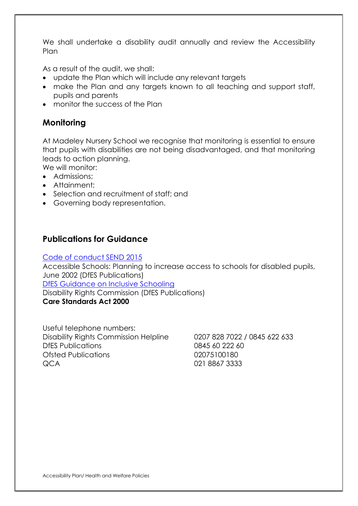We shall undertake a disability audit annually and review the Accessibility Plan

As a result of the audit, we shall:

- update the Plan which will include any relevant targets
- make the Plan and any targets known to all teaching and support staff, pupils and parents
- monitor the success of the Plan

# **Monitoring**

At Madeley Nursery School we recognise that monitoring is essential to ensure that pupils with disabilities are not being disadvantaged, and that monitoring leads to action planning.

We will monitor:

- Admissions:
- Attainment:
- Selection and recruitment of staff; and
- Governing body representation.

## Publications for Guidance

#### Code of conduct SEND 2015

Accessible Schools: Planning to increase access to schools for disabled pupils, June 2002 (DfES Publications) DfES Guidance on Inclusive Schooling

Disability Rights Commission (DfES Publications)

#### Care Standards Act 2000

Useful telephone numbers: Disability Rights Commission Helpline 0207 828 7022 / 0845 622 633 DfES Publications 0845 60 222 60 Ofsted Publications 02075100180 QCA 021 8867 3333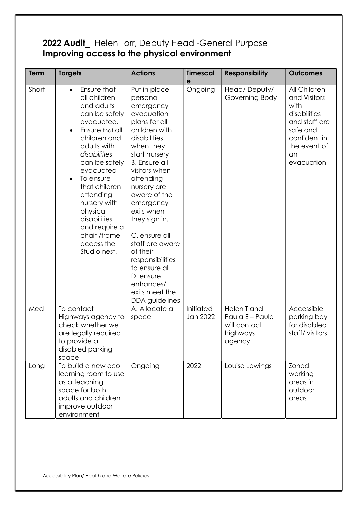# 2022 Audit\_ Helen Torr, Deputy Head -General Purpose Improving access to the physical environment

| Term  | <b>Targets</b>                                                                                                                                                                                                                                                                                                                              | <b>Actions</b>                                                                                                                                                                                                                                                                                                                                                                                                           | <b>Timescal</b><br>e  | <b>Responsibility</b>                                                 | <b>Outcomes</b>                                                                                                                       |
|-------|---------------------------------------------------------------------------------------------------------------------------------------------------------------------------------------------------------------------------------------------------------------------------------------------------------------------------------------------|--------------------------------------------------------------------------------------------------------------------------------------------------------------------------------------------------------------------------------------------------------------------------------------------------------------------------------------------------------------------------------------------------------------------------|-----------------------|-----------------------------------------------------------------------|---------------------------------------------------------------------------------------------------------------------------------------|
| Short | Ensure that<br>$\bullet$<br>all children<br>and adults<br>can be safely<br>evacuated.<br>Ensure that all<br>children and<br>adults with<br>disabilities<br>can be safely<br>evacuated<br>To ensure<br>that children<br>attending<br>nursery with<br>physical<br>disabilities<br>and require a<br>chair /frame<br>access the<br>Studio nest. | Put in place<br>personal<br>emergency<br>evacuation<br>plans for all<br>children with<br>disabilities<br>when they<br>start nursery<br><b>B.</b> Ensure all<br>visitors when<br>attending<br>nursery are<br>aware of the<br>emergency<br>exits when<br>they sign in.<br>C. ensure all<br>staff are aware<br>of their<br>responsibilities<br>to ensure all<br>D. ensure<br>entrances/<br>exits meet the<br>DDA guidelines | Ongoing               | Head/Deputy/<br>Governing Body                                        | All Children<br>and Visitors<br>with<br>disabilities<br>and staff are<br>safe and<br>confident in<br>the event of<br>an<br>evacuation |
| Med   | To contact<br>Highways agency to<br>check whether we<br>are legally required<br>to provide a<br>disabled parking<br>space                                                                                                                                                                                                                   | A. Allocate a<br>space                                                                                                                                                                                                                                                                                                                                                                                                   | Initiated<br>Jan 2022 | Helen T and<br>Paula E - Paula<br>will contact<br>highways<br>agency. | Accessible<br>parking bay<br>for disabled<br>staff/visitors                                                                           |
| Long  | To build a new eco<br>learning room to use<br>as a teaching<br>space for both<br>adults and children<br>improve outdoor<br>environment                                                                                                                                                                                                      | Ongoing                                                                                                                                                                                                                                                                                                                                                                                                                  | 2022                  | Louise Lowings                                                        | Zoned<br>working<br>areas in<br>outdoor<br>areas                                                                                      |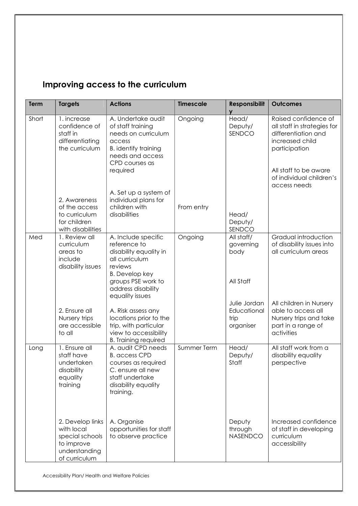# Improving access to the curriculum

| <b>Term</b> | <b>Targets</b>                                                                                    | <b>Actions</b>                                                                                                                                                                     | <b>Timescale</b> | <b>Responsibilit</b><br>V                        | <b>Outcomes</b>                                                                                                                                                                     |
|-------------|---------------------------------------------------------------------------------------------------|------------------------------------------------------------------------------------------------------------------------------------------------------------------------------------|------------------|--------------------------------------------------|-------------------------------------------------------------------------------------------------------------------------------------------------------------------------------------|
| Short       | 1. increase<br>confidence of<br>staff in<br>differentiating<br>the curriculum                     | A. Undertake audit<br>of staff training<br>needs on curriculum<br>access<br><b>B.</b> identify training<br>needs and access<br>CPD courses as<br>required                          | Ongoing          | Head/<br>Deputy/<br>SENDCO                       | Raised confidence of<br>all staff in strategies for<br>differentiation and<br>increased child<br>participation<br>All staff to be aware<br>of individual children's<br>access needs |
|             | 2. Awareness<br>of the access<br>to curriculum<br>for children<br>with disabilities               | A. Set up a system of<br>individual plans for<br>children with<br>disabilities                                                                                                     | From entry       | Head/<br>Deputy/<br>SENDCO                       |                                                                                                                                                                                     |
| Med         | 1. Review all<br>curriculum<br>areas to<br>include<br>disability issues                           | A. Include specific<br>reference to<br>disability equality in<br>all curriculum<br>reviews<br><b>B.</b> Develop key<br>groups PSE work to<br>address disability<br>equality issues | Ongoing          | All staff/<br>governing<br>body<br>All Staff     | Gradual introduction<br>of disability issues into<br>all curriculum areas                                                                                                           |
|             | 2. Ensure all<br>Nursery trips<br>are accessible<br>to all                                        | A. Risk assess any<br>locations prior to the<br>trip, with particular<br>view to accessibility<br><b>B.</b> Training required                                                      |                  | Julie Jordan<br>Educational<br>trip<br>organiser | All children in Nursery<br>able to access all<br>Nursery trips and take<br>part in a range of<br>activities                                                                         |
| Long        | 1. Ensure all<br>staff have<br>undertaken<br>disability<br>equality<br>training                   | A. audit CPD needs<br><b>B.</b> access CPD<br>courses as required<br>C. ensure all new<br>staff undertake<br>disability equality<br>training.                                      | Summer Term      | Head/<br>Deputy/<br>Staff                        | All staff work from a<br>disability equality<br>perspective                                                                                                                         |
|             | 2. Develop links<br>with local<br>special schools<br>to improve<br>understanding<br>of curriculum | A. Organise<br>opportunities for staff<br>to observe practice                                                                                                                      |                  | Deputy<br>through<br>NASENDCO                    | Increased confidence<br>of staff in developing<br>curriculum<br>accessibility                                                                                                       |

Accessibility Plan/ Health and Welfare Policies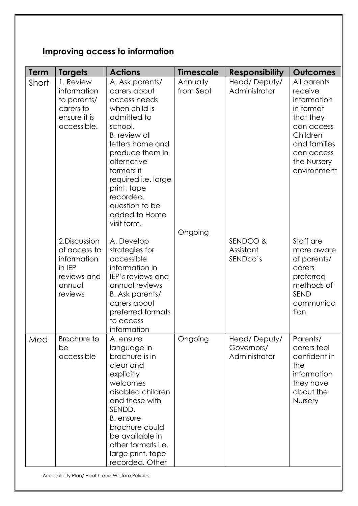# Improving access to information

| <b>Term</b> | <b>Targets</b>                                                                             | <b>Actions</b>                                                                                                                                                                                                                                                                              | <b>Timescale</b>      | <b>Responsibility</b>                       | <b>Outcomes</b>                                                                                                                                       |
|-------------|--------------------------------------------------------------------------------------------|---------------------------------------------------------------------------------------------------------------------------------------------------------------------------------------------------------------------------------------------------------------------------------------------|-----------------------|---------------------------------------------|-------------------------------------------------------------------------------------------------------------------------------------------------------|
| Short       | 1. Review<br>information<br>to parents/<br>carers to<br>ensure it is<br>accessible.        | A. Ask parents/<br>carers about<br>access needs<br>when child is<br>admitted to<br>school.<br><b>B.</b> review all<br>letters home and<br>produce them in<br>alternative<br>formats if<br>required i.e. large<br>print, tape<br>recorded.<br>question to be<br>added to Home<br>visit form. | Annually<br>from Sept | Head/Deputy/<br>Administrator               | All parents<br>receive<br>information<br>in format<br>that they<br>can access<br>Children<br>and families<br>can access<br>the Nursery<br>environment |
|             | 2. Discussion<br>of access to<br>information<br>in IEP<br>reviews and<br>annual<br>reviews | A. Develop<br>strategies for<br>accessible<br>information in<br>IEP's reviews and<br>annual reviews<br>B. Ask parents/<br>carers about<br>preferred formats<br>to access<br>information                                                                                                     | Ongoing               | SENDCO &<br>Assistant<br>SENDco's           | Staff are<br>more aware<br>of parents/<br>carers<br>preferred<br>methods of<br>SEND<br>communica<br>tion                                              |
| Med         | Brochure to<br>be<br>accessible                                                            | A. ensure<br>language in<br>brochure is in<br>clear and<br>explicitly<br>welcomes<br>disabled children<br>and those with<br>SENDD.<br>B. ensure<br>brochure could<br>be available in<br>other formats i.e.<br>large print, tape<br>recorded. Other                                          | Ongoing               | Head/Deputy/<br>Governors/<br>Administrator | Parents/<br>carers feel<br>confident in<br>the<br>information<br>they have<br>about the<br>Nursery                                                    |